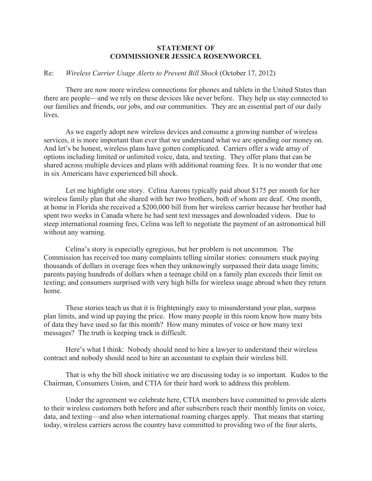## **STATEMENT OF COMMISSIONER JESSICA ROSENWORCEL**

## Re: *Wireless Carrier Usage Alerts to Prevent Bill Shock* (October 17, 2012)

There are now more wireless connections for phones and tablets in the United States than there are people—and we rely on these devices like never before. They help us stay connected to our families and friends, our jobs, and our communities. They are an essential part of our daily lives.

As we eagerly adopt new wireless devices and consume a growing number of wireless services, it is more important than ever that we understand what we are spending our money on. And let's be honest, wireless plans have gotten complicated. Carriers offer a wide array of options including limited or unlimited voice, data, and texting. They offer plans that can be shared across multiple devices and plans with additional roaming fees. It is no wonder that one in six Americans have experienced bill shock.

Let me highlight one story. Celina Aarons typically paid about \$175 per month for her wireless family plan that she shared with her two brothers, both of whom are deaf. One month, at home in Florida she received a \$200,000 bill from her wireless carrier because her brother had spent two weeks in Canada where he had sent text messages and downloaded videos. Due to steep international roaming fees, Celina was left to negotiate the payment of an astronomical bill without any warning.

Celina's story is especially egregious, but her problem is not uncommon. The Commission has received too many complaints telling similar stories: consumers stuck paying thousands of dollars in overage fees when they unknowingly surpassed their data usage limits; parents paying hundreds of dollars when a teenage child on a family plan exceeds their limit on texting; and consumers surprised with very high bills for wireless usage abroad when they return home.

These stories teach us that it is frighteningly easy to misunderstand your plan, surpass plan limits, and wind up paying the price. How many people in this room know how many bits of data they have used so far this month? How many minutes of voice or how many text messages? The truth is keeping track is difficult.

Here's what I think: Nobody should need to hire a lawyer to understand their wireless contract and nobody should need to hire an accountant to explain their wireless bill.

That is why the bill shock initiative we are discussing today is so important. Kudos to the Chairman, Consumers Union, and CTIA for their hard work to address this problem.

Under the agreement we celebrate here, CTIA members have committed to provide alerts to their wireless customers both before and after subscribers reach their monthly limits on voice, data, and texting—and also when international roaming charges apply. That means that starting today, wireless carriers across the country have committed to providing two of the four alerts,